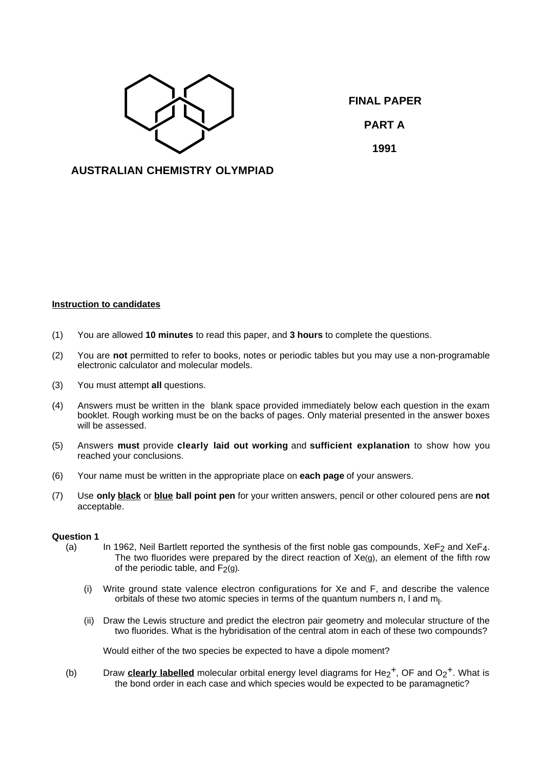

**FINAL PAPER PART A 1991**

# **AUSTRALIAN CHEMISTRY OLYMPIAD**

## **Instruction to candidates**

- (1) You are allowed **10 minutes** to read this paper, and **3 hours** to complete the questions.
- (2) You are **not** permitted to refer to books, notes or periodic tables but you may use a non-programable electronic calculator and molecular models.
- (3) You must attempt **all** questions.
- (4) Answers must be written in the blank space provided immediately below each question in the exam booklet. Rough working must be on the backs of pages. Only material presented in the answer boxes will be assessed.
- (5) Answers **must** provide **clearly laid out working** and **sufficient explanation** to show how you reached your conclusions.
- (6) Your name must be written in the appropriate place on **each page** of your answers.
- (7) Use **only black** or **blue ball point pen** for your written answers, pencil or other coloured pens are **not** acceptable.

### **Question 1**

- (a) In 1962, Neil Bartlett reported the synthesis of the first noble gas compounds,  $XeF<sub>2</sub>$  and  $XeF<sub>4</sub>$ . The two fluorides were prepared by the direct reaction of Xe(g), an element of the fifth row of the periodic table, and  $F_2(q)$ .
	- (i) Write ground state valence electron configurations for Xe and F, and describe the valence orbitals of these two atomic species in terms of the quantum numbers n, I and  $m_l$ .
	- (ii) Draw the Lewis structure and predict the electron pair geometry and molecular structure of the two fluorides. What is the hybridisation of the central atom in each of these two compounds?

Would either of the two species be expected to have a dipole moment?

(b) Draw **clearly labelled** molecular orbital energy level diagrams for He<sub>2</sub><sup>+</sup>, OF and  $O<sub>2</sub>$ <sup>+</sup>. What is the bond order in each case and which species would be expected to be paramagnetic?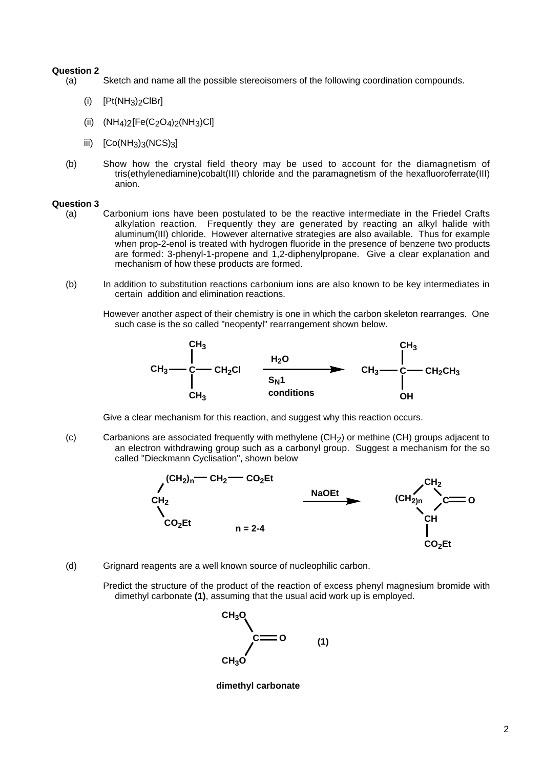### **Question 2**

- (a) Sketch and name all the possible stereoisomers of the following coordination compounds.
	- (i)  $[Pt(NH<sub>3</sub>)<sub>2</sub>ClBr]$
	- (ii)  $(NH_4)_2[Fe(C_2O_4)_2(NH_3)Cl]$
	- iii)  $[Co(NH_3)_3(NCS)_3]$
- (b) Show how the crystal field theory may be used to account for the diamagnetism of tris(ethylenediamine)cobalt(III) chloride and the paramagnetism of the hexafluoroferrate(III) anion.

### **Question 3**

- (a) Carbonium ions have been postulated to be the reactive intermediate in the Friedel Crafts alkylation reaction. Frequently they are generated by reacting an alkyl halide with aluminum(III) chloride. However alternative strategies are also available. Thus for example when prop-2-enol is treated with hydrogen fluoride in the presence of benzene two products are formed: 3-phenyl-1-propene and 1,2-diphenylpropane. Give a clear explanation and mechanism of how these products are formed.
- (b) In addition to substitution reactions carbonium ions are also known to be key intermediates in certain addition and elimination reactions.

However another aspect of their chemistry is one in which the carbon skeleton rearranges. One such case is the so called "neopentyl" rearrangement shown below.



Give a clear mechanism for this reaction, and suggest why this reaction occurs.

(c) Carbanions are associated frequently with methylene (CH2) or methine (CH) groups adjacent to an electron withdrawing group such as a carbonyl group. Suggest a mechanism for the so called "Dieckmann Cyclisation", shown below



(d) Grignard reagents are a well known source of nucleophilic carbon.

Predict the structure of the product of the reaction of excess phenyl magnesium bromide with dimethyl carbonate **(1)**, assuming that the usual acid work up is employed.



**dimethyl carbonate**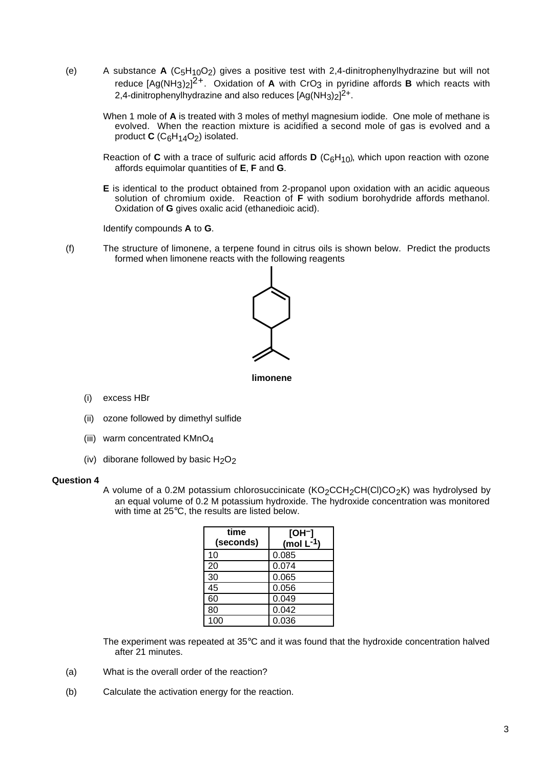- (e) A substance **A** (C5H10O2) gives a positive test with 2,4-dinitrophenylhydrazine but will not reduce [Ag(NH<sub>3</sub>)<sub>2</sub>]<sup>2+</sup>. Oxidation of **A** with CrO<sub>3</sub> in pyridine affords **B** which reacts with 2,4-dinitrophenylhydrazine and also reduces  $[Ag(NH<sub>3</sub>)<sub>2</sub>]<sup>2+</sup>$ .
	- When 1 mole of **A** is treated with 3 moles of methyl magnesium iodide. One mole of methane is evolved. When the reaction mixture is acidified a second mole of gas is evolved and a product  $C$  ( $C_6H_{14}O_2$ ) isolated.
	- Reaction of **C** with a trace of sulfuric acid affords **D** ( $C_6H_{10}$ ), which upon reaction with ozone affords equimolar quantities of **E**, **F** and **G**.
	- **E** is identical to the product obtained from 2-propanol upon oxidation with an acidic aqueous solution of chromium oxide. Reaction of **F** with sodium borohydride affords methanol. Oxidation of **G** gives oxalic acid (ethanedioic acid).

Identify compounds **A** to **G**.

(f) The structure of limonene, a terpene found in citrus oils is shown below. Predict the products formed when limonene reacts with the following reagents



**limonene**

- (i) excess HBr
- (ii) ozone followed by dimethyl sulfide
- (iii) warm concentrated KMnO4
- (iv) diborane followed by basic  $H_2O_2$

### **Question 4**

A volume of a 0.2M potassium chlorosuccinicate  $(KO_2CCH_2CH(Cl)CO_2K)$  was hydrolysed by an equal volume of 0.2 M potassium hydroxide. The hydroxide concentration was monitored with time at 25°C, the results are listed below.

| time<br>(seconds) | [OH <sup>_</sup> ]<br>(mol $L^{-1}$ ) |
|-------------------|---------------------------------------|
| 10                | 0.085                                 |
| 20                | 0.074                                 |
| 30                | 0.065                                 |
| 45                | 0.056                                 |
| 60                | 0.049                                 |
| 80                | 0.042                                 |
| 100               | 0.036                                 |

The experiment was repeated at 35°C and it was found that the hydroxide concentration halved after 21 minutes.

- (a) What is the overall order of the reaction?
- (b) Calculate the activation energy for the reaction.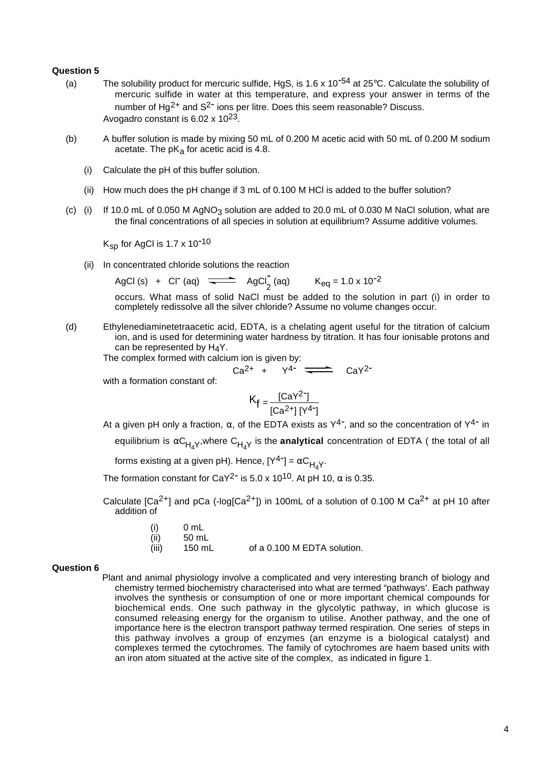### **Question 5**

- (a) The solubility product for mercuric sulfide, HgS, is 1.6 x 10<sup>-54</sup> at 25°C. Calculate the solubility of mercuric sulfide in water at this temperature, and express your answer in terms of the number of  $Ha^{2+}$  and  $S^{2-}$  ions per litre. Does this seem reasonable? Discuss. Avogadro constant is  $6.02 \times 10^{23}$ .
- (b) A buffer solution is made by mixing 50 mL of 0.200 M acetic acid with 50 mL of 0.200 M sodium acetate. The  $pK_a$  for acetic acid is 4.8.
	- (i) Calculate the pH of this buffer solution.
	- (ii) How much does the pH change if 3 mL of 0.100 M HCl is added to the buffer solution?
- (c) (i) If 10.0 mL of 0.050 M AgNO<sub>3</sub> solution are added to 20.0 mL of 0.030 M NaCl solution, what are the final concentrations of all species in solution at equilibrium? Assume additive volumes.

 $K_{SD}$  for AgCl is 1.7 x 10<sup>-10</sup>

(ii) In concentrated chloride solutions the reaction

AgCl (s) + Cl<sup>-</sup> (aq)  $\overline{\phantom{0}} \longrightarrow \phantom{0} \mathsf{AgCl}_2^{\mathsf{T}}$  $K_{eq}$  = 1.0 x 10<sup>-2</sup>

occurs. What mass of solid NaCl must be added to the solution in part (i) in order to completely redissolve all the silver chloride? Assume no volume changes occur.

(d) Ethylenediaminetetraacetic acid, EDTA, is a chelating agent useful for the titration of calcium ion, and is used for determining water hardness by titration. It has four ionisable protons and can be represented by  $H_4Y$ .

The complex formed with calcium ion is given by:

$$
Ca^{2+} + Y^{4-} \longrightarrow CaY^{2-}
$$

with a formation constant of:

$$
K_f = \frac{[CaY^2^-]}{[Ca^{2+}][Y^{4-}]}
$$

At a given pH only a fraction,  $\alpha$ , of the EDTA exists as Y<sup>4-</sup>, and so the concentration of Y<sup>4-</sup> in equilibrium is  $\alpha C_{H_4Y}$ , where  $C_{H_4Y}$  is the **analytical** concentration of EDTA ( the total of all

forms existing at a given pH). Hence,  $[Y^{4-}] = \alpha C_{H,Y}$ .

The formation constant for CaY<sup>2-</sup> is 5.0 x 10<sup>10</sup>. At pH 10,  $\alpha$  is 0.35.

Calculate  $[Ca^{2+}]$  and pCa (-log $[Ca^{2+}]$ ) in 100mL of a solution of 0.100 M Ca<sup>2+</sup> at pH 10 after addition of

| (i)   | 0 mL   |                             |
|-------|--------|-----------------------------|
| (ii)  | 50 mL  |                             |
| (iii) | 150 mL | of a 0.100 M EDTA solution. |

#### **Question 6**

Plant and animal physiology involve a complicated and very interesting branch of biology and chemistry termed biochemistry characterised into what are termed "pathways'. Each pathway involves the synthesis or consumption of one or more important chemical compounds for biochemical ends. One such pathway in the glycolytic pathway, in which glucose is consumed releasing energy for the organism to utilise. Another pathway, and the one of importance here is the electron transport pathway termed respiration. One series of steps in this pathway involves a group of enzymes (an enzyme is a biological catalyst) and complexes termed the cytochromes. The family of cytochromes are haem based units with an iron atom situated at the active site of the complex, as indicated in figure 1.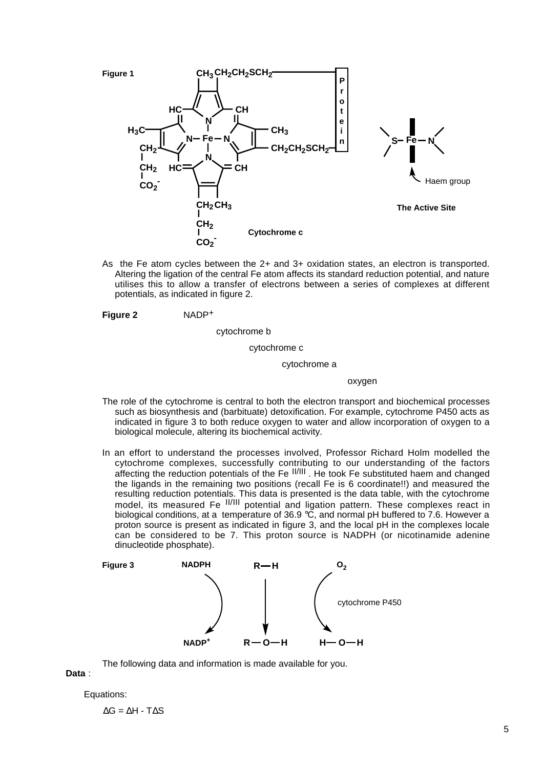

As the Fe atom cycles between the 2+ and 3+ oxidation states, an electron is transported. Altering the ligation of the central Fe atom affects its standard reduction potential, and nature utilises this to allow a transfer of electrons between a series of complexes at different potentials, as indicated in figure 2.

**Figure 2** NADP+

cytochrome b

#### cytochrome c

#### cytochrome a

oxygen

- The role of the cytochrome is central to both the electron transport and biochemical processes such as biosynthesis and (barbituate) detoxification. For example, cytochrome P450 acts as indicated in figure 3 to both reduce oxygen to water and allow incorporation of oxygen to a biological molecule, altering its biochemical activity.
- In an effort to understand the processes involved, Professor Richard Holm modelled the cytochrome complexes, successfully contributing to our understanding of the factors affecting the reduction potentials of the Fe II/III . He took Fe substituted haem and changed the ligands in the remaining two positions (recall Fe is 6 coordinate!!) and measured the resulting reduction potentials. This data is presented is the data table, with the cytochrome model, its measured Fe <sup>II/III</sup> potential and ligation pattern. These complexes react in biological conditions, at a temperature of 36.9 °C, and normal pH buffered to 7.6. However a proton source is present as indicated in figure 3, and the local pH in the complexes locale can be considered to be 7. This proton source is NADPH (or nicotinamide adenine dinucleotide phosphate).



The following data and information is made available for you.

# **Data** :

Equations:

 $\Delta G = \Delta H - T \Delta S$